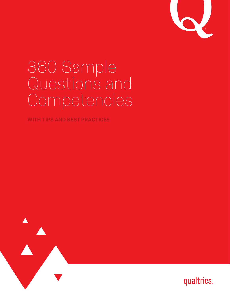

# 360 Sample Questions and Competencies

**WITH TIPS AND BEST PRACTICES**



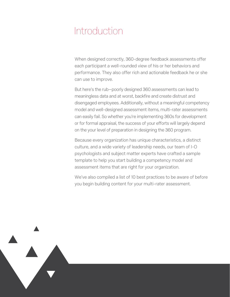## Introduction

When designed correctly, 360-degree feedback assessments offer each participant a well-rounded view of his or her behaviors and performance. They also offer rich and actionable feedback he or she can use to improve.

But here's the rub—poorly designed 360 assessments can lead to meaningless data and at worst, backfire and create distrust and disengaged employees. Additionally, without a meaningful competency model and well-designed assessment items, multi-rater assessments can easily fail. So whether you're implementing 360s for development or for formal appraisal, the success of your efforts will largely depend on the your level of preparation in designing the 360 program.

Because every organization has unique characteristics, a distinct culture, and a wide variety of leadership needs, our team of I-O psychologists and subject matter experts have crafted a sample template to help you start building a competency model and assessment items that are right for your organization.

We've also compiled a list of 10 best practices to be aware of before you begin building content for your multi-rater assessment.

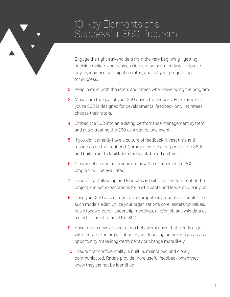### 10 Key Elements of a Successful 360 Program

- 1 Engage the right stakeholders from the very beginning—getting decision makers and business leaders on board early will improve buy-in, increase participation rates, and set your program up for success.
- **2** Keep in mind both the raters and ratees when developing the program.
- **3** Make sure the goal of your 360 drives the process. For example, if you're 360 is designed for developmental feedback only, let ratees choose their raters.
- 4 Embed the 360 into an existing performance management system and avoid treating the 360 as a standalone event .
- **5** If you don't already have a culture of feedback, invest time and resources on the front end. Communicate the purpose of the 360s and build trust to facilitate a feedback-based culture.
- 6 Clearly define and communicate how the success of the 360 program will be evaluated.
- **7** Ensure that follow-up and feedback is built in at the forefront of the project and set expectations for participants and leadership early on.
- 8 Base your 360 assessment on a competency model or models. If no such models exist, utilize your organization's core leadership values, basic focus groups, leadership meetings, and/or job analysis data as a starting point to build the 360.
- **9** Have ratees develop one to two behavioral goals that clearly align with those of the organization. Hyper-focusing on one to two areas of opportunity make long-term behavior change more likely.
- 10 Ensure that confidentiality is built in, maintained and clearly communicated. Raters provide more useful feedback when they know they cannot be identified.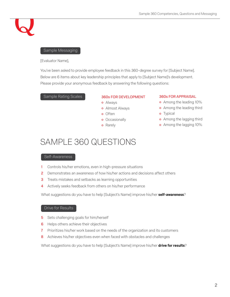### Sample Messaging

### [Evaluator Name],

You've been asked to provide employee feedback in this 360-degree survey for [Subject Name]. Below are 6 items about key leadership principles that apply to [Subject Name]'s development. Please provide your anonymous feedback by answering the following questions:

### Sample Rating Scales 360s FOR DEVELOPMENT

- Always
- Almost Always
- o Often
- o Occasionally
- **o** Rarely

### 360s FOR APPRAISAL

- Among the leading 10%
- **o** Among the leading third
- o Typical
- **o** Among the lagging third
- Among the lagging 10%

### SAMPLE 360 QUESTIONS

#### Self-Awareness

- 1 Controls his/her emotions, even in high-pressure situations
- 2 Demonstrates an awareness of how his/her actions and decisions affect others
- **3** Treats mistakes and setbacks as learning opportunities
- 4 Actively seeks feedback from others on his/her performance

What suggestions do you have to help [Subject's Name] improve his/her **self-awareness**?

### Drive for Results

- **5** Sets challenging goals for him/herself
- 6 Helps others achieve their objectives
- 7 Prioritizes his/her work based on the needs of the organization and its customers
- 8 Achieves his/her objectives even when faced with obstacles and challenges

What suggestions do you have to help [Subject's Name] improve his/her **drive for results**?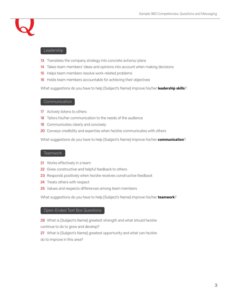

#### Leadership

- 13 Translates the company strategy into concrete actions/ plans
- 14 Takes team members' ideas and opinions into account when making decisions
- 15 Helps team members resolve work-related problems
- 16 Holds team members accountable for achieving their objectives

What suggestions do you have to help [Subject's Name] improve his/her **leadership skills**?

### **Communication**

- 17 Actively listens to others
- 18 Tailors his/her communication to the needs of the audience
- 19 Communicates clearly and concisely
- 20 Conveys credibility and expertise when he/she communicates with others

What suggestions do you have to help [Subject's Name] improve his/her **communication**?

### Teamwork

- 21 Works effectively in a team
- 22 Gives constructive and helpful feedback to others
- 23 Responds positively when he/she receives constructive feedback
- 24 Treats others with respect
- 25 Values and respects differences among team members

What suggestions do you have to help [Subject's Name] improve his/her **teamwork**?

### Open-Ended Text Box Questions

26 What is [Subject's Name] greatest strength and what should he/she continue to do to grow and develop?

27 What is [Subject's Name] greatest opportunity and what can he/she do to improve in this area?